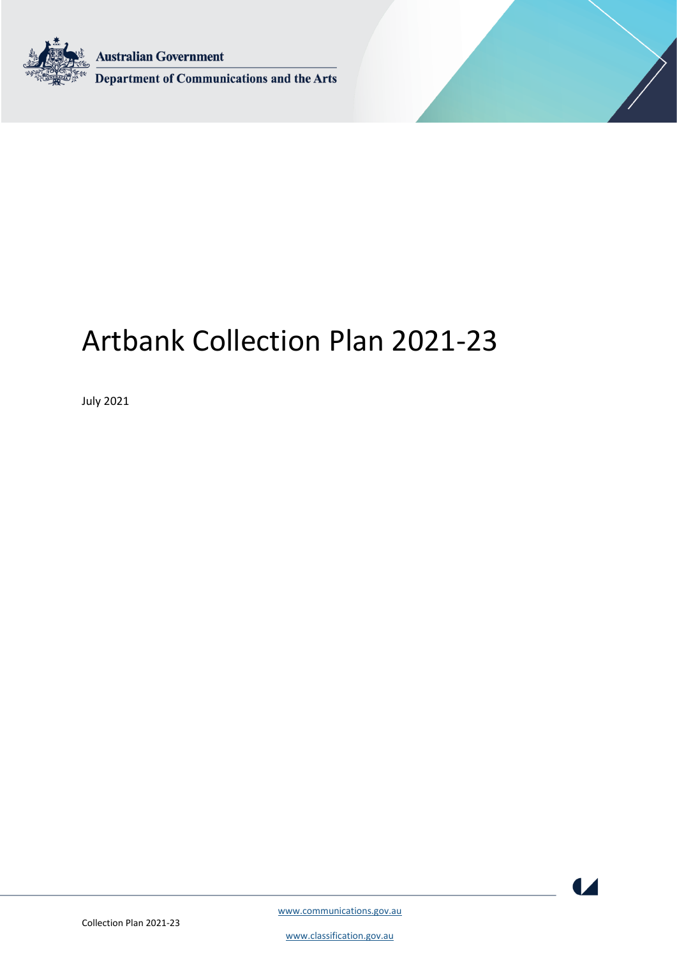**Australian Government** 



Department of Communications and the Arts

# Artbank Collection Plan 2021-23

July 2021

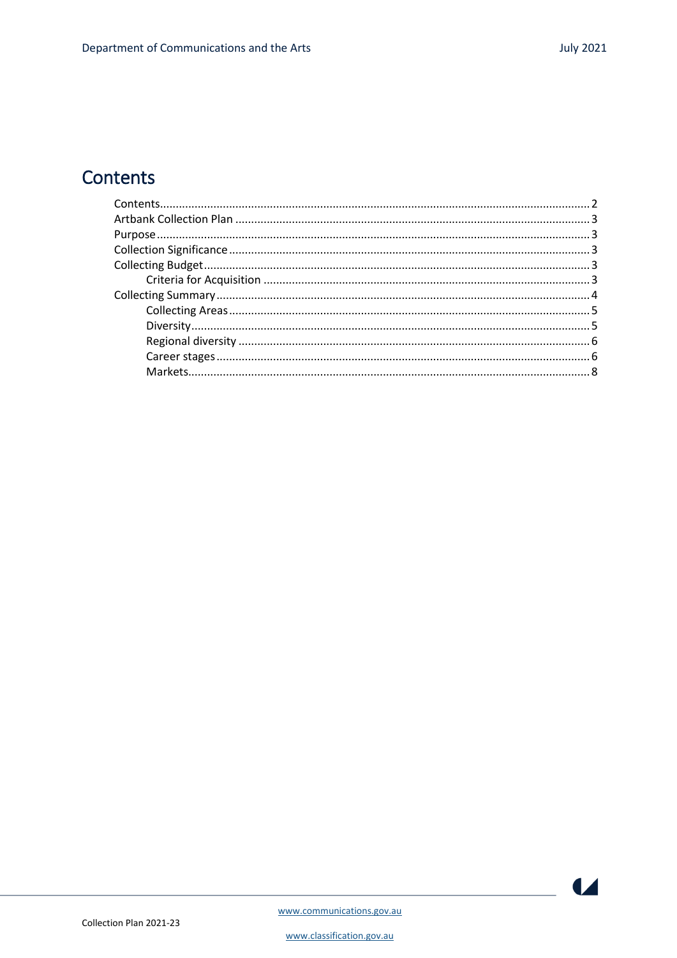# <span id="page-1-0"></span>Contents

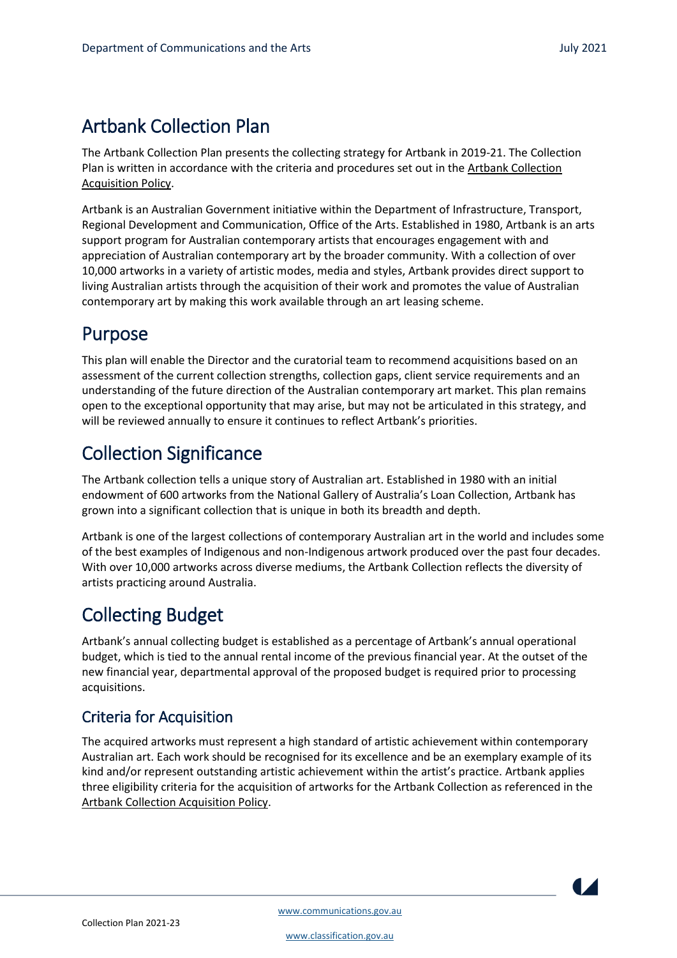# <span id="page-2-0"></span>Artbank Collection Plan

The Artbank Collection Plan presents the collecting strategy for Artbank in 2019-21. The Collection Plan is written in accordance with the criteria and procedures set out in the Artbank Collection Acquisition Policy.

Artbank is an Australian Government initiative within the Department of Infrastructure, Transport, Regional Development and Communication, Office of the Arts. Established in 1980, Artbank is an arts support program for Australian contemporary artists that encourages engagement with and appreciation of Australian contemporary art by the broader community. With a collection of over 10,000 artworks in a variety of artistic modes, media and styles, Artbank provides direct support to living Australian artists through the acquisition of their work and promotes the value of Australian contemporary art by making this work available through an art leasing scheme.

## <span id="page-2-1"></span>Purpose

This plan will enable the Director and the curatorial team to recommend acquisitions based on an assessment of the current collection strengths, collection gaps, client service requirements and an understanding of the future direction of the Australian contemporary art market. This plan remains open to the exceptional opportunity that may arise, but may not be articulated in this strategy, and will be reviewed annually to ensure it continues to reflect Artbank's priorities.

# <span id="page-2-2"></span>Collection Significance

The Artbank collection tells a unique story of Australian art. Established in 1980 with an initial endowment of 600 artworks from the National Gallery of Australia's Loan Collection, Artbank has grown into a significant collection that is unique in both its breadth and depth.

Artbank is one of the largest collections of contemporary Australian art in the world and includes some of the best examples of Indigenous and non-Indigenous artwork produced over the past four decades. With over 10,000 artworks across diverse mediums, the Artbank Collection reflects the diversity of artists practicing around Australia.

# <span id="page-2-3"></span>Collecting Budget

Artbank's annual collecting budget is established as a percentage of Artbank's annual operational budget, which is tied to the annual rental income of the previous financial year. At the outset of the new financial year, departmental approval of the proposed budget is required prior to processing acquisitions.

### <span id="page-2-4"></span>Criteria for Acquisition

The acquired artworks must represent a high standard of artistic achievement within contemporary Australian art. Each work should be recognised for its excellence and be an exemplary example of its kind and/or represent outstanding artistic achievement within the artist's practice. Artbank applies three eligibility criteria for the acquisition of artworks for the Artbank Collection as referenced in the Artbank Collection Acquisition Policy.

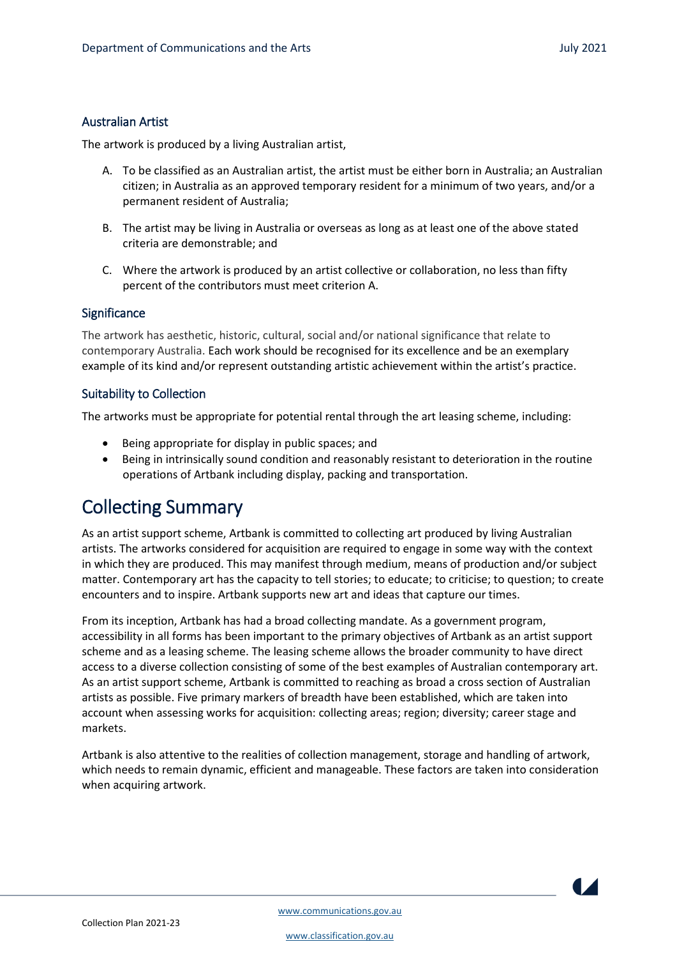#### Australian Artist

The artwork is produced by a living Australian artist,

- A. To be classified as an Australian artist, the artist must be either born in Australia; an Australian citizen; in Australia as an approved temporary resident for a minimum of two years, and/or a permanent resident of Australia;
- B. The artist may be living in Australia or overseas as long as at least one of the above stated criteria are demonstrable; and
- C. Where the artwork is produced by an artist collective or collaboration, no less than fifty percent of the contributors must meet criterion A.

#### **Significance**

The artwork has aesthetic, historic, cultural, social and/or national significance that relate to contemporary Australia. Each work should be recognised for its excellence and be an exemplary example of its kind and/or represent outstanding artistic achievement within the artist's practice.

#### Suitability to Collection

The artworks must be appropriate for potential rental through the art leasing scheme, including:

- Being appropriate for display in public spaces; and
- Being in intrinsically sound condition and reasonably resistant to deterioration in the routine operations of Artbank including display, packing and transportation.

### <span id="page-3-0"></span>Collecting Summary

As an artist support scheme, Artbank is committed to collecting art produced by living Australian artists. The artworks considered for acquisition are required to engage in some way with the context in which they are produced. This may manifest through medium, means of production and/or subject matter. Contemporary art has the capacity to tell stories; to educate; to criticise; to question; to create encounters and to inspire. Artbank supports new art and ideas that capture our times.

From its inception, Artbank has had a broad collecting mandate. As a government program, accessibility in all forms has been important to the primary objectives of Artbank as an artist support scheme and as a leasing scheme. The leasing scheme allows the broader community to have direct access to a diverse collection consisting of some of the best examples of Australian contemporary art. As an artist support scheme, Artbank is committed to reaching as broad a cross section of Australian artists as possible. Five primary markers of breadth have been established, which are taken into account when assessing works for acquisition: collecting areas; region; diversity; career stage and markets.

Artbank is also attentive to the realities of collection management, storage and handling of artwork, which needs to remain dynamic, efficient and manageable. These factors are taken into consideration when acquiring artwork.

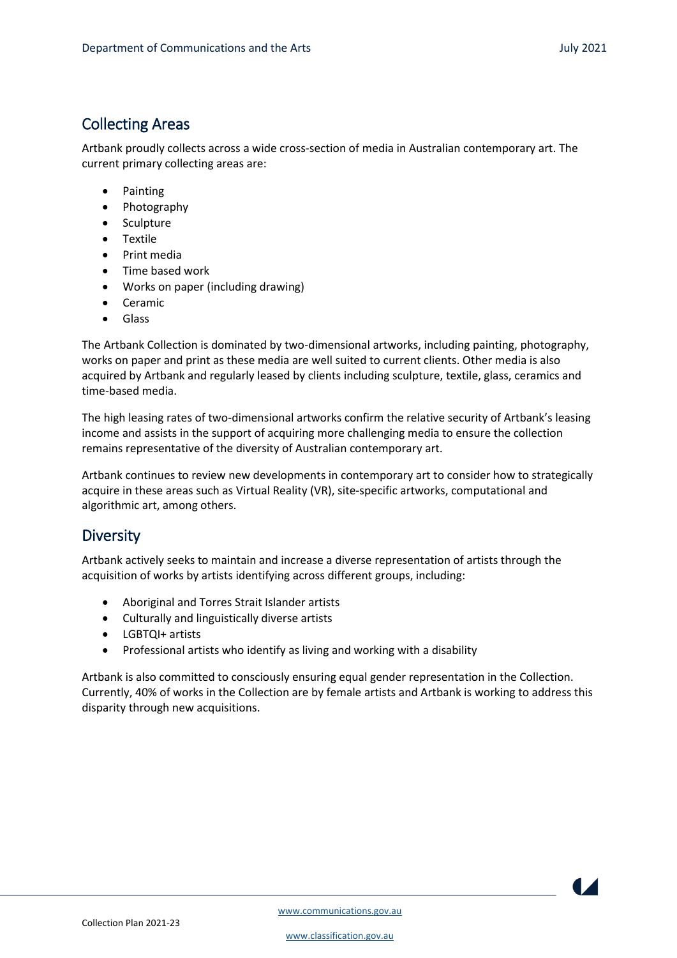### <span id="page-4-0"></span>Collecting Areas

Artbank proudly collects across a wide cross-section of media in Australian contemporary art. The current primary collecting areas are:

- Painting
- Photography
- Sculpture
- Textile
- Print media
- Time based work
- Works on paper (including drawing)
- Ceramic
- Glass

The Artbank Collection is dominated by two-dimensional artworks, including painting, photography, works on paper and print as these media are well suited to current clients. Other media is also acquired by Artbank and regularly leased by clients including sculpture, textile, glass, ceramics and time-based media.

The high leasing rates of two-dimensional artworks confirm the relative security of Artbank's leasing income and assists in the support of acquiring more challenging media to ensure the collection remains representative of the diversity of Australian contemporary art.

Artbank continues to review new developments in contemporary art to consider how to strategically acquire in these areas such as Virtual Reality (VR), site-specific artworks, computational and algorithmic art, among others.

### <span id="page-4-1"></span>**Diversity**

Artbank actively seeks to maintain and increase a diverse representation of artists through the acquisition of works by artists identifying across different groups, including:

- Aboriginal and Torres Strait Islander artists
- Culturally and linguistically diverse artists
- LGBTQI+ artists
- Professional artists who identify as living and working with a disability

Artbank is also committed to consciously ensuring equal gender representation in the Collection. Currently, 40% of works in the Collection are by female artists and Artbank is working to address this disparity through new acquisitions.

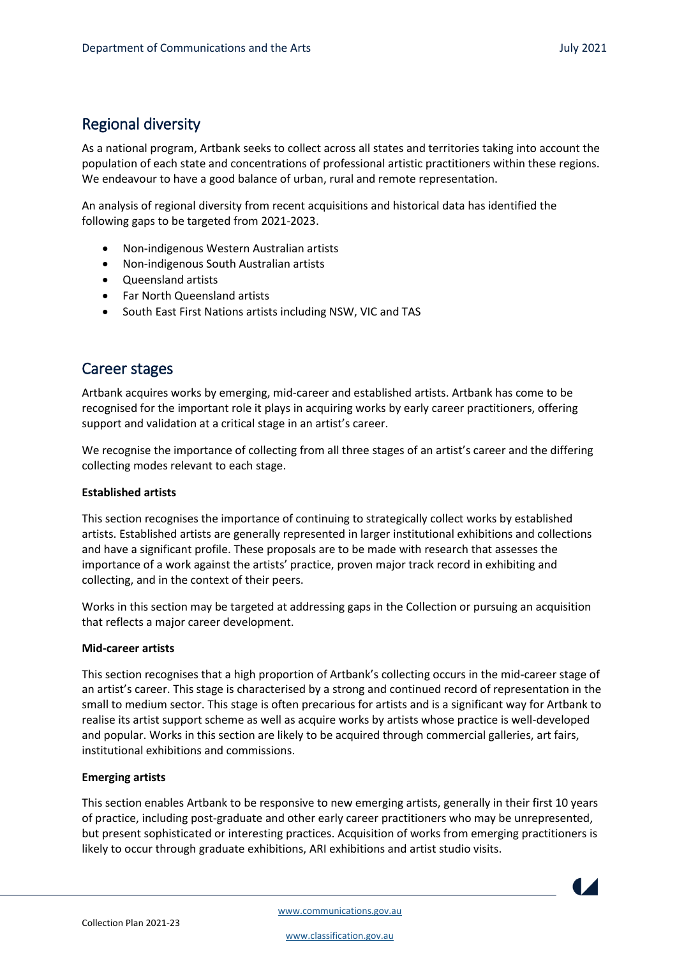### <span id="page-5-0"></span>Regional diversity

As a national program, Artbank seeks to collect across all states and territories taking into account the population of each state and concentrations of professional artistic practitioners within these regions. We endeavour to have a good balance of urban, rural and remote representation.

An analysis of regional diversity from recent acquisitions and historical data has identified the following gaps to be targeted from 2021-2023.

- Non-indigenous Western Australian artists
- Non-indigenous South Australian artists
- Queensland artists
- Far North Queensland artists
- South East First Nations artists including NSW, VIC and TAS

#### <span id="page-5-1"></span>Career stages

Artbank acquires works by emerging, mid-career and established artists. Artbank has come to be recognised for the important role it plays in acquiring works by early career practitioners, offering support and validation at a critical stage in an artist's career.

We recognise the importance of collecting from all three stages of an artist's career and the differing collecting modes relevant to each stage.

#### **Established artists**

This section recognises the importance of continuing to strategically collect works by established artists. Established artists are generally represented in larger institutional exhibitions and collections and have a significant profile. These proposals are to be made with research that assesses the importance of a work against the artists' practice, proven major track record in exhibiting and collecting, and in the context of their peers.

Works in this section may be targeted at addressing gaps in the Collection or pursuing an acquisition that reflects a major career development.

#### **Mid-career artists**

This section recognises that a high proportion of Artbank's collecting occurs in the mid-career stage of an artist's career. This stage is characterised by a strong and continued record of representation in the small to medium sector. This stage is often precarious for artists and is a significant way for Artbank to realise its artist support scheme as well as acquire works by artists whose practice is well-developed and popular. Works in this section are likely to be acquired through commercial galleries, art fairs, institutional exhibitions and commissions.

#### **Emerging artists**

This section enables Artbank to be responsive to new emerging artists, generally in their first 10 years of practice, including post-graduate and other early career practitioners who may be unrepresented, but present sophisticated or interesting practices. Acquisition of works from emerging practitioners is likely to occur through graduate exhibitions, ARI exhibitions and artist studio visits.

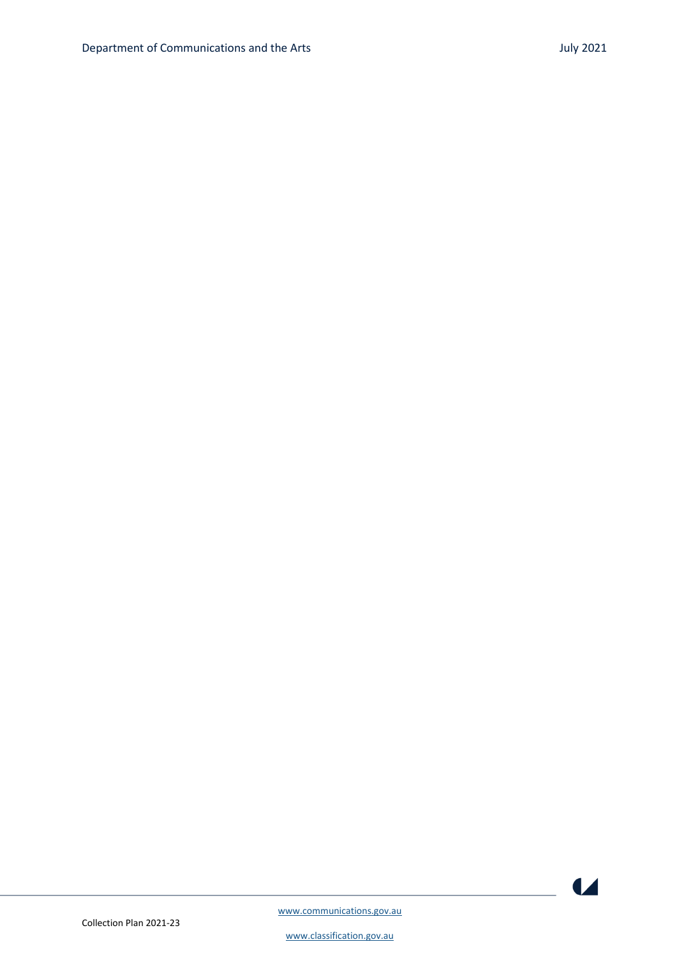